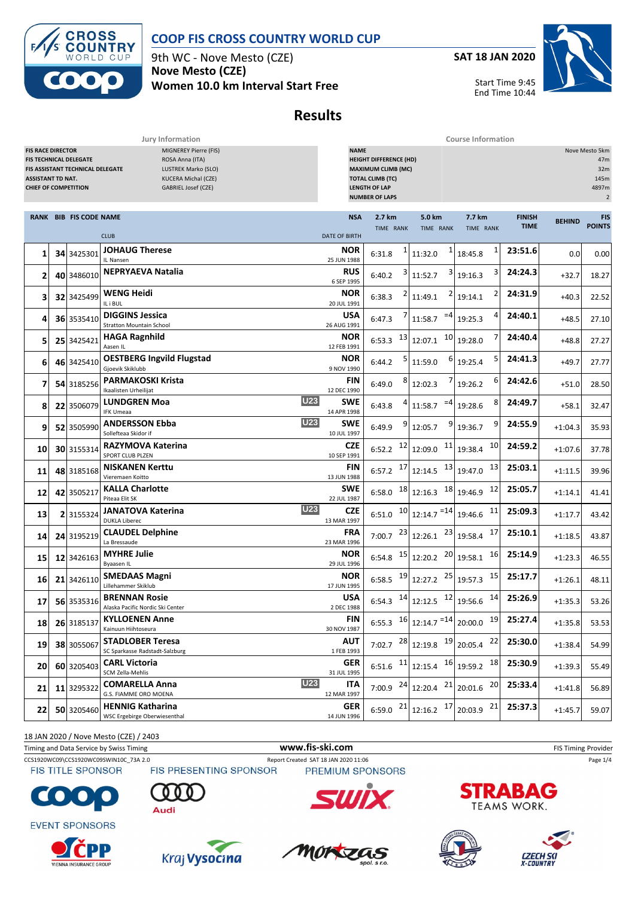

9th WC - Nove Mesto (CZE) **Nove Mesto (CZE) Women 10.0 km Interval Start Free** **SAT 18 JAN 2020**

Start Time 9:45

End Time 10:44



**Results**

| Jury Information<br><b>Course Information</b>                                       |  |                                                            |                                                                                                                             |                                                                                                                                                                                                                          |                        |                                                                                         |                                                                                                 |                              |               |                             |  |
|-------------------------------------------------------------------------------------|--|------------------------------------------------------------|-----------------------------------------------------------------------------------------------------------------------------|--------------------------------------------------------------------------------------------------------------------------------------------------------------------------------------------------------------------------|------------------------|-----------------------------------------------------------------------------------------|-------------------------------------------------------------------------------------------------|------------------------------|---------------|-----------------------------|--|
| <b>FIS RACE DIRECTOR</b><br><b>ASSISTANT TD NAT.</b><br><b>CHIEF OF COMPETITION</b> |  | FIS TECHNICAL DELEGATE<br>FIS ASSISTANT TECHNICAL DELEGATE | MIGNEREY Pierre (FIS)<br>ROSA Anna (ITA)<br><b>LUSTREK Marko (SLO)</b><br><b>KUCERA Michal (CZE)</b><br>GABRIEL Josef (CZE) | <b>NAME</b><br>Nove Mesto 5km<br><b>HEIGHT DIFFERENCE (HD)</b><br>47m<br><b>MAXIMUM CLIMB (MC)</b><br>32m<br><b>TOTAL CLIMB (TC)</b><br>145m<br><b>LENGTH OF LAP</b><br>4897m<br><b>NUMBER OF LAPS</b><br>$\overline{2}$ |                        |                                                                                         |                                                                                                 |                              |               |                             |  |
|                                                                                     |  | RANK BIB FIS CODE NAME                                     | <b>CLUB</b>                                                                                                                 | <b>NSA</b><br><b>DATE OF BIRTH</b>                                                                                                                                                                                       | 2.7 km<br>TIME RANK    | 5.0 km<br>TIME RANK                                                                     | 7.7 km<br>TIME RANK                                                                             | <b>FINISH</b><br><b>TIME</b> | <b>BEHIND</b> | <b>FIS</b><br><b>POINTS</b> |  |
| 1                                                                                   |  | 34 3425301                                                 | <b>JOHAUG Therese</b><br>IL Nansen                                                                                          | <b>NOR</b><br>25 JUN 1988                                                                                                                                                                                                | 6:31.8                 | 11:32.0                                                                                 | 1<br>18:45.8                                                                                    | 23:51.6                      | 0.0           | 0.00                        |  |
| 2                                                                                   |  | 40 3486010                                                 | <b>NEPRYAEVA Natalia</b>                                                                                                    | RUS<br>6 SEP 1995                                                                                                                                                                                                        | 6:40.2                 | 11:52.7                                                                                 | 3<br>19:16.3                                                                                    | 24:24.3                      | $+32.7$       | 18.27                       |  |
| 3                                                                                   |  | 32 3425499                                                 | <b>WENG Heidi</b><br>IL i BUL                                                                                               | NOR<br>20 JUL 1991                                                                                                                                                                                                       | 6:38.3                 | 11:49.1                                                                                 | 2<br>19:14.1                                                                                    | 24:31.9                      | $+40.3$       | 22.52                       |  |
| 4                                                                                   |  | 36 3535410                                                 | <b>DIGGINS Jessica</b><br><b>Stratton Mountain School</b>                                                                   | USA<br>26 AUG 1991                                                                                                                                                                                                       | 6:47.3                 | $=4$<br>11:58.7                                                                         | 4<br>19:25.3                                                                                    | 24:40.1                      | $+48.5$       | 27.10                       |  |
| 5                                                                                   |  | 25 3425421                                                 | <b>HAGA Ragnhild</b><br>Aasen IL                                                                                            | <b>NOR</b><br>12 FEB 1991                                                                                                                                                                                                | 13<br>6:53.3           | 10<br>12:07.1                                                                           | 19:28.0                                                                                         | 24:40.4                      | $+48.8$       | 27.27                       |  |
| 6                                                                                   |  | 46 3425410                                                 | <b>OESTBERG Ingvild Flugstad</b><br>Gjoevik Skiklubb                                                                        | NOR<br>9 NOV 1990                                                                                                                                                                                                        | 6:44.2                 | 6<br>11:59.0                                                                            | 5<br>19:25.4                                                                                    | 24:41.3                      | $+49.7$       | 27.77                       |  |
| 7                                                                                   |  | 54 3185256                                                 | <b>PARMAKOSKI Krista</b><br>Ikaalisten Urheilijat                                                                           | <b>FIN</b><br>12 DEC 1990                                                                                                                                                                                                | 8<br>6:49.0            | 12:02.3                                                                                 | 6<br>19:26.2                                                                                    | 24:42.6                      | $+51.0$       | 28.50                       |  |
| 8                                                                                   |  | 22 3506079                                                 | <b>U23</b><br><b>LUNDGREN Moa</b><br><b>IFK Umeaa</b>                                                                       | SWE<br>14 APR 1998                                                                                                                                                                                                       | 6:43.8                 | $=4$<br>11:58.7                                                                         | 8<br>19:28.6                                                                                    | 24:49.7                      | $+58.1$       | 32.47                       |  |
| 9                                                                                   |  | 52 3505990                                                 | <b>U23</b><br><b>ANDERSSON Ebba</b><br>Sollefteaa Skidor if                                                                 | SWE<br>10 JUL 1997                                                                                                                                                                                                       | 9<br>6:49.9            | 12:05.7                                                                                 | 9<br>19:36.7                                                                                    | 24:55.9                      | $+1:04.3$     | 35.93                       |  |
| 10                                                                                  |  | 30 3155314                                                 | RAZYMOVA Katerina<br>SPORT CLUB PLZEN                                                                                       | <b>CZE</b><br>10 SEP 1991                                                                                                                                                                                                | 12<br>6:52.2           | 11<br>12:09.0                                                                           | 10<br>19:38.4                                                                                   | 24:59.2                      | $+1:07.6$     | 37.78                       |  |
| 11                                                                                  |  | 48 3185168                                                 | <b>NISKANEN Kerttu</b><br>Vieremaen Koitto                                                                                  | FIN<br>13 JUN 1988                                                                                                                                                                                                       | 17<br>6:57.2           | 12:14.5                                                                                 | 13 19:47.0<br>13                                                                                | 25:03.1                      | $+1:11.5$     | 39.96                       |  |
| 12                                                                                  |  | 42 3505217                                                 | <b>KALLA Charlotte</b><br>Piteaa Elit SK                                                                                    | <b>SWE</b><br>22 JUL 1987                                                                                                                                                                                                | 18<br>6:58.0           | $12:16.3$ $18$ 19:46.9                                                                  | 12                                                                                              | 25:05.7                      | $+1:14.1$     | 41.41                       |  |
| 13                                                                                  |  | 2 3155324                                                  | <b>U23</b><br><b>JANATOVA Katerina</b><br><b>DUKLA Liberec</b>                                                              | <b>CZE</b><br>13 MAR 1997                                                                                                                                                                                                | 6:51.0                 | $10$ 12:14.7 $=$ 14 19:46.6                                                             | 11                                                                                              | 25:09.3                      | $+1:17.7$     | 43.42                       |  |
| 14                                                                                  |  | 24 3195219                                                 | <b>CLAUDEL Delphine</b><br>La Bressaude                                                                                     | <b>FRA</b><br>23 MAR 1996                                                                                                                                                                                                | 23<br>7:00.7           | 12:26.1                                                                                 | $23$ 19:58.4<br>17                                                                              | 25:10.1                      | $+1:18.5$     | 43.87                       |  |
| 15                                                                                  |  | 12 3426163                                                 | <b>MYHRE Julie</b><br>Byaasen IL                                                                                            | <b>NOR</b><br>29 JUL 1996                                                                                                                                                                                                | 15<br>6:54.8           | 12:20.2                                                                                 | $20$ 19:58.1<br>16                                                                              | 25:14.9                      | $+1:23.3$     | 46.55                       |  |
| 16                                                                                  |  | 21 3426110                                                 | <b>SMEDAAS Magni</b><br>Lillehammer Skiklub                                                                                 | <b>NOR</b><br>17 JUN 1995                                                                                                                                                                                                | 19<br>6:58.5           | 12:27.2                                                                                 | 15<br>$25$ 19:57.3                                                                              | 25:17.7                      | $+1:26.1$     | 48.11                       |  |
| 17                                                                                  |  | 56 3535316                                                 | <b>BRENNAN Rosie</b><br>Alaska Pacific Nordic Ski Center                                                                    | USA<br>2 DEC 1988                                                                                                                                                                                                        |                        | 6:54.3 $14$ 12:12.5 $12$ 19:56.6                                                        | 14                                                                                              | 25:26.9                      | $+1:35.3$     | 53.26                       |  |
| 18                                                                                  |  | 26 3185137                                                 | <b>KYLLOENEN Anne</b><br>Kainuun Hiihtoseura                                                                                | <b>FIN</b><br>30 NOV 1987                                                                                                                                                                                                |                        |                                                                                         | 6:55.3 $16 \begin{array}{ c c c c c } \hline 12:14.7 & =14 & 20:00.0 & 19 \ \hline \end{array}$ | 25:27.4                      | $+1:35.8$     | 53.53                       |  |
| 19                                                                                  |  | 38 3055067                                                 | <b>STADLOBER Teresa</b><br>SC Sparkasse Radstadt-Salzburg                                                                   | AUT<br>1 FEB 1993                                                                                                                                                                                                        |                        | 7:02.7 $^{28}$ 12:19.8 $^{19}$ 20:05.4                                                  | 22                                                                                              | 25:30.0                      | $+1:38.4$     | 54.99                       |  |
| 20                                                                                  |  | 60 3205403                                                 | <b>CARL Victoria</b><br>SCM Zella-Mehlis                                                                                    | GER<br>31 JUL 1995                                                                                                                                                                                                       |                        | 6:51.6 $11 \overline{\smash{\big)}\ 12:15.4}$ $16 \overline{\smash{\big)}\ 19:59.2}$ 18 |                                                                                                 | 25:30.9                      | $+1:39.3$     | 55.49                       |  |
| 21                                                                                  |  | 11 3295322                                                 | <b>U23</b><br><b>COMARELLA Anna</b><br>G.S. FIAMME ORO MOENA                                                                | <b>ITA</b><br>12 MAR 1997                                                                                                                                                                                                | $7:00.9$ <sup>24</sup> | $12:20.4$ $^{21}$ 20:01.6                                                               | 20                                                                                              | 25:33.4                      | $+1:41.8$     | 56.89                       |  |
| 22                                                                                  |  | 50 3205460                                                 | <b>HENNIG Katharina</b><br>WSC Ergebirge Oberwiesenthal                                                                     | GER<br>14 JUN 1996                                                                                                                                                                                                       | 21<br>6:59.0           | 12:16.2 $17$ 20:03.9 21                                                                 |                                                                                                 | 25:37.3                      | $+1:45.7$     | 59.07                       |  |

18 JAN 2020 / Nove Mesto (CZE) / 2403

Timing and Data Service by Swiss Timing **www.fis-ski.com www.fis-ski.com** FIS Timing Provider

CCS1920WC09\CCS1920WC09SWIN10C\_73A 2.0 Report Created SAT 18 JAN 2020 11:06 Page 1/4<br>
FIS TITLE SPONSOR FIS PRESENTING SPONSOR PREMIUM SPONSORS

**FIS TITLE SPONSOR** 











PREMIUM SPONSORS







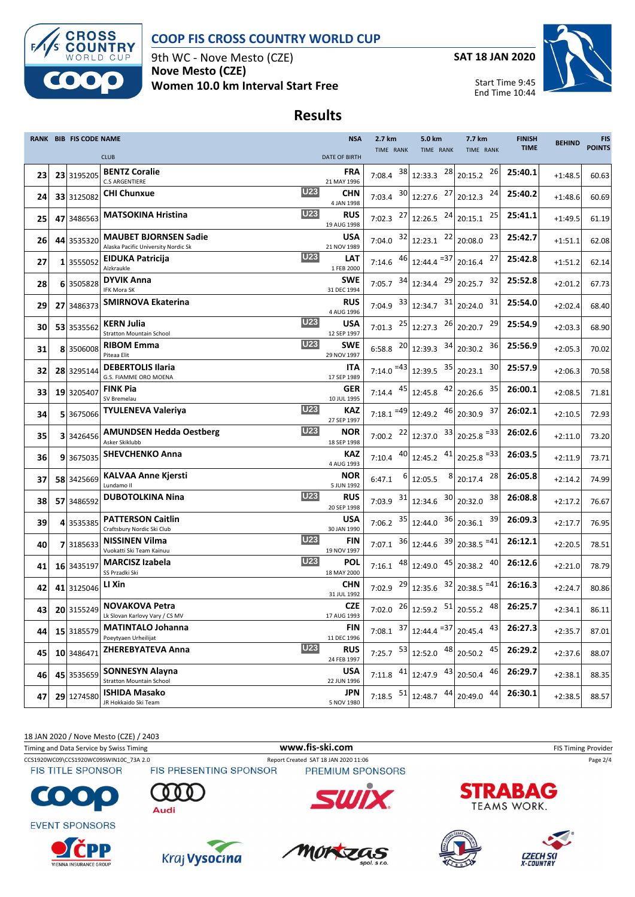

9th WC - Nove Mesto (CZE) **Nove Mesto (CZE) Women 10.0 km Interval Start Free** **SAT 18 JAN 2020**

Start Time 9:45

End Time 10:44



**Results**

|    | RANK BIB FIS CODE NAME |                                                                     | <b>NSA</b>                | 2.7 km                                                               | 5.0 km                                                                                      | 7.7 km                                         | <b>FINISH</b> | <b>BEHIND</b> | <b>FIS</b>    |
|----|------------------------|---------------------------------------------------------------------|---------------------------|----------------------------------------------------------------------|---------------------------------------------------------------------------------------------|------------------------------------------------|---------------|---------------|---------------|
|    |                        | <b>CLUB</b>                                                         | <b>DATE OF BIRTH</b>      | TIME RANK                                                            | TIME RANK                                                                                   | TIME RANK                                      | <b>TIME</b>   |               | <b>POINTS</b> |
| 23 | 23 3195205             | <b>BENTZ Coralie</b><br>C.S ARGENTIERE                              | FRA<br>21 MAY 1996        | 38<br>7:08.4                                                         | 28<br>12:33.3                                                                               | 26<br>20:15.2                                  | 25:40.1       | $+1:48.5$     | 60.63         |
| 24 | 33 3125082             | <b>U23</b><br><b>CHI Chunxue</b>                                    | CHN<br>4 JAN 1998         | 7:03.4 $30 \mid 12:27.6$                                             | 27                                                                                          | 24<br>20:12.3                                  | 25:40.2       | $+1:48.6$     | 60.69         |
| 25 | 47 3486563             | <b>U23</b><br><b>MATSOKINA Hristina</b>                             | <b>RUS</b><br>19 AUG 1998 |                                                                      | 7:02.3 $^{27}$ 12:26.5 $^{24}$ 20:15.1                                                      | 25                                             | 25:41.1       | $+1:49.5$     | 61.19         |
| 26 | 44 3535320             | <b>MAUBET BJORNSEN Sadie</b><br>Alaska Pacific University Nordic Sk | <b>USA</b><br>21 NOV 1989 |                                                                      | 7:04.0 $32$ 12:23.1 $22$ 20:08.0                                                            | 23                                             | 25:42.7       | $+1:51.1$     | 62.08         |
| 27 | 1 3555052              | <b>U23</b><br><b>EIDUKA Patricija</b><br>Aizkraukle                 | LAT<br>1 FEB 2000         |                                                                      | 7:14.6 $46 \begin{bmatrix} 46 \\ 12:44.4 \end{bmatrix}$ = 37 20:16.4                        | 27                                             | 25:42.8       | $+1:51.2$     | 62.14         |
| 28 | 6 3505828              | <b>DYVIK Anna</b><br>IFK Mora SK                                    | <b>SWE</b><br>31 DEC 1994 |                                                                      | 7:05.7 $34$ 12:34.4 $29$ 20:25.7                                                            | 32                                             | 25:52.8       | $+2:01.2$     | 67.73         |
| 29 | 27 3486373             | SMIRNOVA Ekaterina                                                  | <b>RUS</b><br>4 AUG 1996  |                                                                      | 7:04.9 $33 \begin{bmatrix} 3.3 \\ 12.34.7 \end{bmatrix}$ 20:24.0                            | 31                                             | 25:54.0       | $+2:02.4$     | 68.40         |
| 30 | 53 3535562             | <b>U23</b><br>KERN Julia<br><b>Stratton Mountain School</b>         | USA<br>12 SEP 1997        | 7:01.3 $^{25}$ 12:27.3                                               |                                                                                             | $26$ 20:20.7<br>29                             | 25:54.9       | $+2:03.3$     | 68.90         |
| 31 | 8 3506008              | <b>U23</b><br><b>RIBOM Emma</b><br>Piteaa Elit                      | <b>SWE</b><br>29 NOV 1997 | $6:58.8$ $^{20}$ 12:39.3                                             |                                                                                             | $34$ 20:30.2<br>36                             | 25:56.9       | $+2:05.3$     | 70.02         |
| 32 | 28 3295144             | <b>DEBERTOLIS Ilaria</b><br>G.S. FIAMME ORO MOENA                   | <b>ITA</b><br>17 SEP 1989 |                                                                      | 7:14.0 $= 43 \begin{array}{ c c } 12:39.5 & 35 \end{array}$ 20:23.1                         | 30                                             | 25:57.9       | $+2:06.3$     | 70.58         |
| 33 | 19 3205407             | <b>FINK Pia</b><br>SV Bremelau                                      | <b>GER</b><br>10 JUL 1995 |                                                                      | 7:14.4 $45$ 12:45.8 $42$                                                                    | 35<br>20:26.6                                  | 26:00.1       | $+2:08.5$     | 71.81         |
| 34 | 5 3675066              | <b>U23</b><br><b>TYULENEVA Valeriya</b>                             | KAZ<br>27 SEP 1997        | $7:18.1$ <sup>=49</sup> 12:49.2                                      |                                                                                             | 37<br>$46$ 20:30.9                             | 26:02.1       | $+2:10.5$     | 72.93         |
| 35 | 3 3426456              | <b>U23</b><br><b>AMUNDSEN Hedda Oestberg</b><br>Asker Skiklubb      | <b>NOR</b><br>18 SEP 1998 |                                                                      | 7:00.2 $^{22}$ 12:37.0 $^{33}$ 20:25.8 <sup>=33</sup>                                       |                                                | 26:02.6       | $+2:11.0$     | 73.20         |
| 36 | 9 3675035              | <b>SHEVCHENKO Anna</b>                                              | KAZ<br>4 AUG 1993         |                                                                      | 7:10.4 $^{40}$ 12:45.2 $^{41}$ 20:25.8 <sup>=33</sup>                                       |                                                | 26:03.5       | $+2:11.9$     | 73.71         |
| 37 | 58 3425669             | <b>KALVAA Anne Kjersti</b><br>Lundamo II                            | NOR<br>5 JUN 1992         | 6<br>6:47.1                                                          | $8 \mid$<br>12:05.5                                                                         | 28<br>20:17.4                                  | 26:05.8       | $+2:14.2$     | 74.99         |
| 38 | 57 3486592             | <b>U23</b><br><b>DUBOTOLKINA Nina</b>                               | <b>RUS</b><br>20 SEP 1998 | 7:03.9 $31$ 12:34.6                                                  |                                                                                             | 38<br>$30$ <sub>20:32.0</sub>                  | 26:08.8       | $+2:17.2$     | 76.67         |
| 39 | 4 3535385              | <b>PATTERSON Caitlin</b><br>Craftsbury Nordic Ski Club              | USA<br>30 JAN 1990        | 7:06.2                                                               | 35 12:44.0                                                                                  | $36$ 20:36.1<br>39                             | 26:09.3       | $+2:17.7$     | 76.95         |
| 40 | 7 3185633              | <b>U23</b><br><b>NISSINEN Vilma</b><br>Vuokatti Ski Team Kainuu     | FIN<br>19 NOV 1997        |                                                                      | 7:07.1 $36$ 12:44.6 $39$ 20:38.5 $= 41$                                                     |                                                | 26:12.1       | $+2:20.5$     | 78.51         |
| 41 | 16 3435197             | <b>U23</b><br><b>MARCISZ Izabela</b><br>SS Przadki Ski              | <b>POL</b><br>18 MAY 2000 |                                                                      | 7:16.1 $\begin{array}{ c c c c c c } \hline 48 & 12:49.0 & 45 & 20:38.2 \hline \end{array}$ | 40                                             | 26:12.6       | $+2:21.0$     | 78.79         |
| 42 | 41 3125046             | LI Xin                                                              | <b>CHN</b><br>31 JUL 1992 |                                                                      | 7:02.9 $^{29}$ 12:35.6 $^{32}$ 20:38.5 $^{=41}$                                             |                                                | 26:16.3       | $+2:24.7$     | 80.86         |
| 43 |                        | 20 3155249 NOVAKOVA Petra<br>Lk Slovan Karlovy Vary / CS MV         | <b>CZE</b><br>17 AUG 1993 |                                                                      |                                                                                             | 7:02.0 $^{26}$ 12:59.2 $^{51}$ 20:55.2 $^{48}$ | 26:25.7       | $+2:34.1$     | 86.11         |
| 44 | 15 3185579             | <b>MATINTALO Johanna</b><br>Poeytyaen Urheilijat                    | FIN<br>11 DEC 1996        | 37<br>7:08.1                                                         | $12:44.4$ <sup>=37</sup>                                                                    | 43<br>20:45.4                                  | 26:27.3       | $+2:35.7$     | 87.01         |
| 45 | 10 3486471             | <b>U23</b><br><b>ZHEREBYATEVA Anna</b>                              | <b>RUS</b><br>24 FEB 1997 | 7:25.7 $\begin{array}{ c c } \hline 53 & 12:52.0 \hline \end{array}$ | 48                                                                                          | 45<br>20:50.2                                  | 26:29.2       | $+2:37.6$     | 88.07         |
| 46 | 45 3535659             | <b>SONNESYN Alayna</b><br><b>Stratton Mountain School</b>           | <b>USA</b><br>22 JUN 1996 |                                                                      | 7:11.8 $41$ 12:47.9 43                                                                      | 46<br>20:50.4                                  | 26:29.7       | $+2:38.1$     | 88.35         |
| 47 | 29 1274580             | <b>ISHIDA Masako</b><br>JR Hokkaido Ski Team                        | <b>JPN</b><br>5 NOV 1980  | $7:18.5$ $51$                                                        | 44<br>12:48.7                                                                               | 44<br>20:49.0                                  | 26:30.1       | $+2:38.5$     | 88.57         |

18 JAN 2020 / Nove Mesto (CZE) / 2403

Timing and Data Service by Swiss Timing **WWW.fis-Ski.com WWW.fis-Ski.com** FIS Timing Provider

CCS1920WC09\CCS1920WC09SWIN10C\_73A 2.0 Report Created SAT 18 JAN 2020 11:06 Page 2/4<br>
FIS TITLE SPONSOR FIS PRESENTING SPONSOR PREMIUM SPONSORS



**EVENT SPONSORS** 





PREMIUM SPONSORS











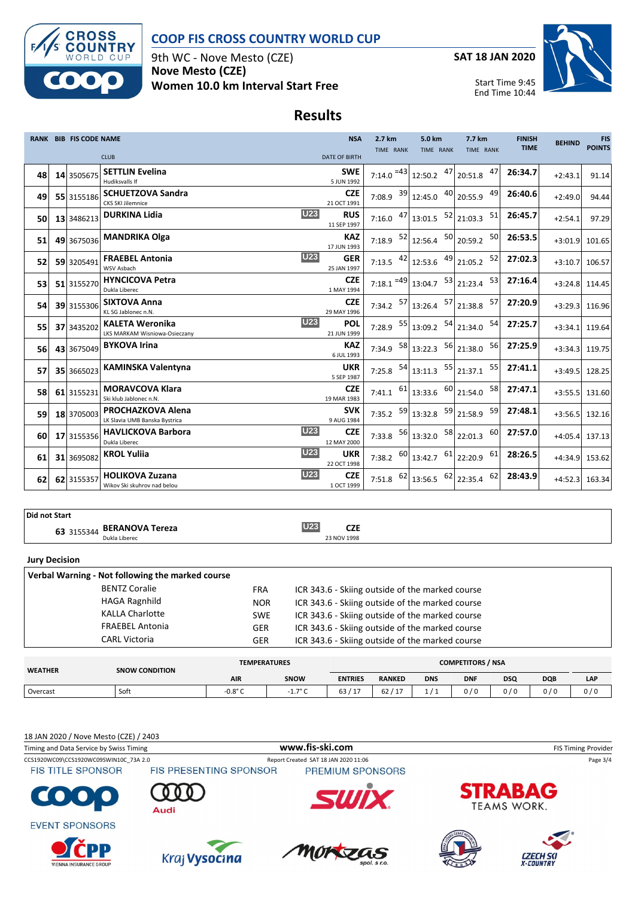

9th WC - Nove Mesto (CZE) **Nove Mesto (CZE) Women 10.0 km Interval Start Free** **SAT 18 JAN 2020**



Start Time 9:45 End Time 10:44

# **Results**

|    | RANK BIB FIS CODE NAME |                                                           |            | <b>NSA</b>                | 2.7 km                      | 5.0 km                                                                                          | 7.7 km           | <b>FINISH</b> | <b>BEHIND</b>  | <b>FIS</b>       |
|----|------------------------|-----------------------------------------------------------|------------|---------------------------|-----------------------------|-------------------------------------------------------------------------------------------------|------------------|---------------|----------------|------------------|
|    |                        | <b>CLUB</b>                                               |            | <b>DATE OF BIRTH</b>      | <b>TIME RANK</b>            | TIME RANK                                                                                       | <b>TIME RANK</b> | <b>TIME</b>   |                | <b>POINTS</b>    |
|    |                        | <b>SETTLIN Evelina</b>                                    |            | <b>SWE</b>                |                             |                                                                                                 |                  |               |                |                  |
| 48 | 14 3505675             | Hudiksvalls If                                            |            | 5 JUN 1992                | $7:14.0$ <sup>=43</sup>     | 12:50.2 $47$ 20:51.8                                                                            | 47               | 26:34.7       | $+2:43.1$      | 91.14            |
| 49 | 55 3155186             | <b>SCHUETZOVA Sandra</b><br><b>CKS SKI Jilemnice</b>      |            | <b>CZE</b><br>21 OCT 1991 |                             | 7:08.9 $\begin{array}{ c c c c c } \hline 39 & 12:45.0 & 40 & 20:55.9 \hline \end{array}$       | 49               | 26:40.6       | $+2:49.0$      | 94.44            |
| 50 | 13 3486213             | <b>DURKINA Lidia</b>                                      | <b>U23</b> | <b>RUS</b><br>11 SEP 1997 |                             | 7:16.0 $\begin{array}{ c c c c c c } \hline 47 & 13:01.5 & 52 & 21:03.3 \hline \end{array}$     | 51               | 26:45.7       | $+2:54.1$      | 97.29            |
| 51 | 49 3675036             | <b>MANDRIKA Olga</b>                                      |            | <b>KAZ</b><br>17 JUN 1993 | 7:18.9 $\frac{52}{12:56.4}$ |                                                                                                 | 50<br>50 20:59.2 | 26:53.5       | $+3:01.9$      | 101.65           |
| 52 | 59 3205491             | <b>FRAEBEL Antonia</b><br>WSV Asbach                      | <b>U23</b> | <b>GER</b><br>25 JAN 1997 |                             | 7:13.5 $\left.42\right $ 12:53.6 $\left.49\right $ 21:05.2                                      | 52               | 27:02.3       | $+3:10.7$      | 106.57           |
| 53 | 51 3155270             | <b>HYNCICOVA Petra</b><br>Dukla Liberec                   |            | <b>CZE</b><br>1 MAY 1994  |                             | 7:18.1 $=$ 49 13:04.7 $\begin{array}{ c} 53 & 21:23.4 \end{array}$                              | 53               | 27:16.4       | $+3:24.8$      | 114.45           |
| 54 | 39 3155306             | <b>SIXTOVA Anna</b><br>KL SG Jablonec n.N.                |            | <b>CZE</b><br>29 MAY 1996 |                             | 7:34.2 $\begin{array}{ c c c c c c c c } \hline 57 & 13:26.4 & 57 & 21:38.8 \hline \end{array}$ | 57               | 27:20.9       | $+3:29.3$      | 116.96           |
| 55 | 37 3435202             | <b>KALETA Weronika</b><br>LKS MARKAM Wisniowa-Osieczany   | <b>U23</b> | POL<br>21 JUN 1999        |                             | 7:28.9 $55 \big  13:09.2$                                                                       | 54<br>54 21:34.0 | 27:25.7       | $+3:34.1$      | 119.64           |
| 56 | 43 3675049             | <b>BYKOVA Irina</b>                                       |            | <b>KAZ</b><br>6 JUL 1993  |                             | 7:34.9 $\begin{array}{ c c c c c c } \hline 58 & 13:22.3 & 56 & 21:38.0 \hline \end{array}$     | 56               | 27:25.9       | $+3:34.3$      | 119.75           |
| 57 | 35 3665023             | <b>KAMINSKA Valentyna</b>                                 |            | <b>UKR</b><br>5 SEP 1987  |                             | 7:25.8 $\begin{array}{ c c c c c c } \hline 54 & 13:11.3 & 55 & 21:37.1 \hline \end{array}$     | 55               | 27:41.1       | $+3:49.5$      | 128.25           |
| 58 | 61 3155231             | <b>MORAVCOVA Klara</b><br>Ski klub Jablonec n.N.          |            | <b>CZE</b><br>19 MAR 1983 |                             | 7:41.1 $\begin{bmatrix} 61 \\ 13.33.6 \end{bmatrix}$ 60 21:54.0                                 | 58               | 27:47.1       |                | $+3:55.5$ 131.60 |
| 59 | 18 3705003             | <b>PROCHAZKOVA Alena</b><br>LK Slavia UMB Banska Bystrica |            | <b>SVK</b><br>9 AUG 1984  | 7:35.2 $59$ 13:32.8         |                                                                                                 | 59 21:58.9<br>59 | 27:48.1       | $+3:56.5$      | 132.16           |
| 60 | 17 3155356             | <b>HAVLICKOVA Barbora</b><br>Dukla Liberec                | <b>U23</b> | <b>CZE</b><br>12 MAY 2000 | 7:33.8 $56$ 13:32.0         |                                                                                                 | 58 22:01.3<br>60 | 27:57.0       | $+4:05.4$      | 137.13           |
| 61 | 31 3695082             | <b>KROL Yuliia</b>                                        | <b>U23</b> | <b>UKR</b><br>22 OCT 1998 |                             | 7:38.2 $\begin{array}{ c c c c c } \hline 60 & 13:42.7 & 61 & 22:20.9 \hline \end{array}$       | 61               | 28:26.5       | +4:34.9 153.62 |                  |
| 62 | 62 3155357             | <b>HOLIKOVA Zuzana</b><br>Wikov Ski skuhrov nad belou     | <b>U23</b> | <b>CZE</b><br>1 OCT 1999  |                             | 7:51.8 $\begin{array}{ c c c c c } \hline 62 & 13:56.5 & 62 & 22:35.4 \hline \end{array}$       | 62               | 28:43.9       | $+4:52.3$      | 163.34           |

#### **Did not Start**

**63** 3155344 **BERANOVA Tereza U23 CZE**<br>
23 NOV 1998 23 NOV 1998

#### **Jury Decision**

| Verbal Warning - Not following the marked course |            |                                                 |
|--------------------------------------------------|------------|-------------------------------------------------|
| <b>BENTZ Coralie</b>                             | <b>FRA</b> | ICR 343.6 - Skiing outside of the marked course |
| <b>HAGA Ragnhild</b>                             | <b>NOR</b> | ICR 343.6 - Skiing outside of the marked course |
| <b>KALLA Charlotte</b>                           | <b>SWE</b> | ICR 343.6 - Skiing outside of the marked course |
| <b>FRAEBEL Antonia</b>                           | GER        | ICR 343.6 - Skiing outside of the marked course |
| <b>CARL Victoria</b>                             | GER        | ICR 343.6 - Skiing outside of the marked course |
|                                                  |            |                                                 |

| <b>WEATHER</b> | <b>SNOW CONDITION</b> | <b>TEMPERATURES</b> |                 | <b>COMPETITORS / NSA</b> |                       |            |            |            |            |     |
|----------------|-----------------------|---------------------|-----------------|--------------------------|-----------------------|------------|------------|------------|------------|-----|
|                |                       | <b>AIR</b>          | SNOW            | <b>ENTRIES</b>           | <b>RANKED</b>         | <b>DNS</b> | <b>DNF</b> | <b>DSQ</b> | <b>DQB</b> | LAP |
| Overcast       | Soft                  | $-0.8$ °C           | $1.7^{\circ}$ C | 63<br>117                | 62/<br>$\overline{a}$ |            | 0/0        | 0/0        | 0/0        | 0/0 |
|                |                       |                     |                 |                          |                       |            |            |            |            |     |

18 JAN 2020 / Nove Mesto (CZE) / 2403

| Timing and Data Service by Swiss Timing |                               | www.fis-ski.com                      | <b>FIS Timing Provider</b>           |
|-----------------------------------------|-------------------------------|--------------------------------------|--------------------------------------|
| CCS1920WC09\CCS1920WC09SWIN10C 73A 2.0  |                               | Report Created SAT 18 JAN 2020 11:06 | Page 3/4                             |
| <b>FIS TITLE SPONSOR</b>                | <b>FIS PRESENTING SPONSOR</b> | PREMIUM SPONSORS                     |                                      |
| <b>COOO</b>                             | Audi                          |                                      | <b>STRABAG</b><br><b>TEAMS WORK.</b> |
| <b>EVENT SPONSORS</b><br><b>CPP</b>     |                               |                                      |                                      |
| <b>VIENNA INSURANCE GROUP</b>           | Kraj Vysocina                 | MORZAS                               | <b>CZECH SKI</b><br>X-COUNTRY        |